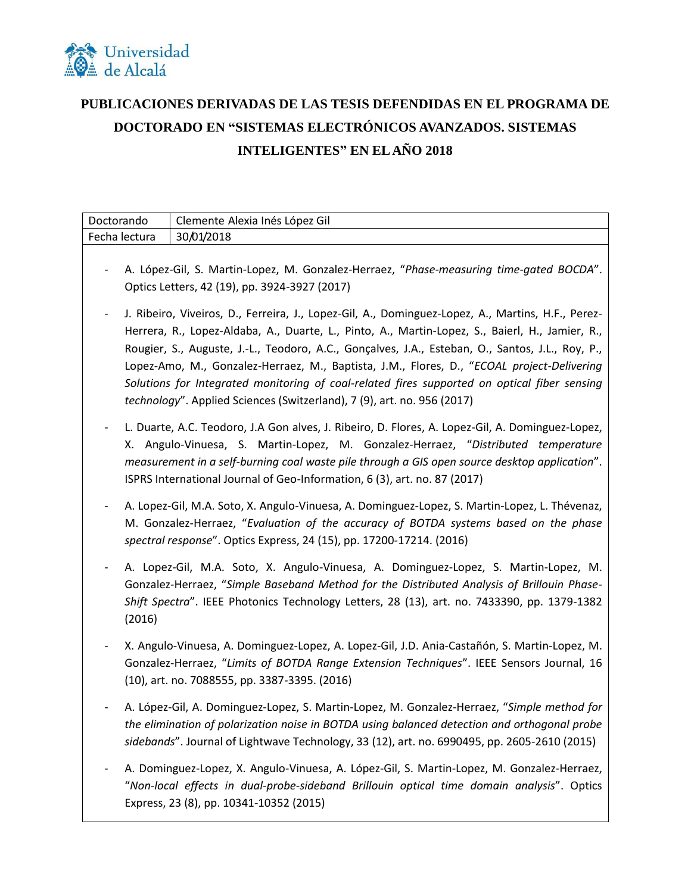

## **PUBLICACIONES DERIVADAS DE LAS TESIS DEFENDIDAS EN EL PROGRAMA DE DOCTORADO EN "SISTEMAS ELECTRÓNICOS AVANZADOS. SISTEMAS INTELIGENTES" EN EL AÑO 2018**

| Doctorando                                                                                                                                                                                                                                                                                                                                                                                                                                           | Clemente Alexia Inés López Gil                                                                                                                                                                                                                                                             |
|------------------------------------------------------------------------------------------------------------------------------------------------------------------------------------------------------------------------------------------------------------------------------------------------------------------------------------------------------------------------------------------------------------------------------------------------------|--------------------------------------------------------------------------------------------------------------------------------------------------------------------------------------------------------------------------------------------------------------------------------------------|
| Fecha lectura                                                                                                                                                                                                                                                                                                                                                                                                                                        | 30/01/2018                                                                                                                                                                                                                                                                                 |
| A. López-Gil, S. Martin-Lopez, M. Gonzalez-Herraez, "Phase-measuring time-gated BOCDA".<br>Optics Letters, 42 (19), pp. 3924-3927 (2017)<br>J. Ribeiro, Viveiros, D., Ferreira, J., Lopez-Gil, A., Dominguez-Lopez, A., Martins, H.F., Perez-<br>Herrera, R., Lopez-Aldaba, A., Duarte, L., Pinto, A., Martin-Lopez, S., Baierl, H., Jamier, R.,<br>Rougier, S., Auguste, J.-L., Teodoro, A.C., Gonçalves, J.A., Esteban, O., Santos, J.L., Roy, P., |                                                                                                                                                                                                                                                                                            |
| Lopez-Amo, M., Gonzalez-Herraez, M., Baptista, J.M., Flores, D., "ECOAL project-Delivering<br>Solutions for Integrated monitoring of coal-related fires supported on optical fiber sensing<br>technology". Applied Sciences (Switzerland), 7 (9), art. no. 956 (2017)                                                                                                                                                                                |                                                                                                                                                                                                                                                                                            |
| L. Duarte, A.C. Teodoro, J.A Gon alves, J. Ribeiro, D. Flores, A. Lopez-Gil, A. Dominguez-Lopez,<br>X. Angulo-Vinuesa, S. Martin-Lopez, M. Gonzalez-Herraez, "Distributed temperature<br>measurement in a self-burning coal waste pile through a GIS open source desktop application".<br>ISPRS International Journal of Geo-Information, 6 (3), art. no. 87 (2017)                                                                                  |                                                                                                                                                                                                                                                                                            |
|                                                                                                                                                                                                                                                                                                                                                                                                                                                      | A. Lopez-Gil, M.A. Soto, X. Angulo-Vinuesa, A. Dominguez-Lopez, S. Martin-Lopez, L. Thévenaz,<br>M. Gonzalez-Herraez, "Evaluation of the accuracy of BOTDA systems based on the phase<br>spectral response". Optics Express, 24 (15), pp. 17200-17214. (2016)                              |
| (2016)                                                                                                                                                                                                                                                                                                                                                                                                                                               | A. Lopez-Gil, M.A. Soto, X. Angulo-Vinuesa, A. Dominguez-Lopez, S. Martin-Lopez, M.<br>Gonzalez-Herraez, "Simple Baseband Method for the Distributed Analysis of Brillouin Phase-<br>Shift Spectra". IEEE Photonics Technology Letters, 28 (13), art. no. 7433390, pp. 1379-1382           |
|                                                                                                                                                                                                                                                                                                                                                                                                                                                      | X. Angulo-Vinuesa, A. Dominguez-Lopez, A. Lopez-Gil, J.D. Ania-Castañón, S. Martin-Lopez, M.<br>Gonzalez-Herraez, "Limits of BOTDA Range Extension Techniques". IEEE Sensors Journal, 16<br>(10), art. no. 7088555, pp. 3387-3395. (2016)                                                  |
|                                                                                                                                                                                                                                                                                                                                                                                                                                                      | A. López-Gil, A. Dominguez-Lopez, S. Martin-Lopez, M. Gonzalez-Herraez, "Simple method for<br>the elimination of polarization noise in BOTDA using balanced detection and orthogonal probe<br>sidebands". Journal of Lightwave Technology, 33 (12), art. no. 6990495, pp. 2605-2610 (2015) |
|                                                                                                                                                                                                                                                                                                                                                                                                                                                      | A. Dominguez-Lopez, X. Angulo-Vinuesa, A. López-Gil, S. Martin-Lopez, M. Gonzalez-Herraez,<br>"Non-local effects in dual-probe-sideband Brillouin optical time domain analysis". Optics<br>Express, 23 (8), pp. 10341-10352 (2015)                                                         |